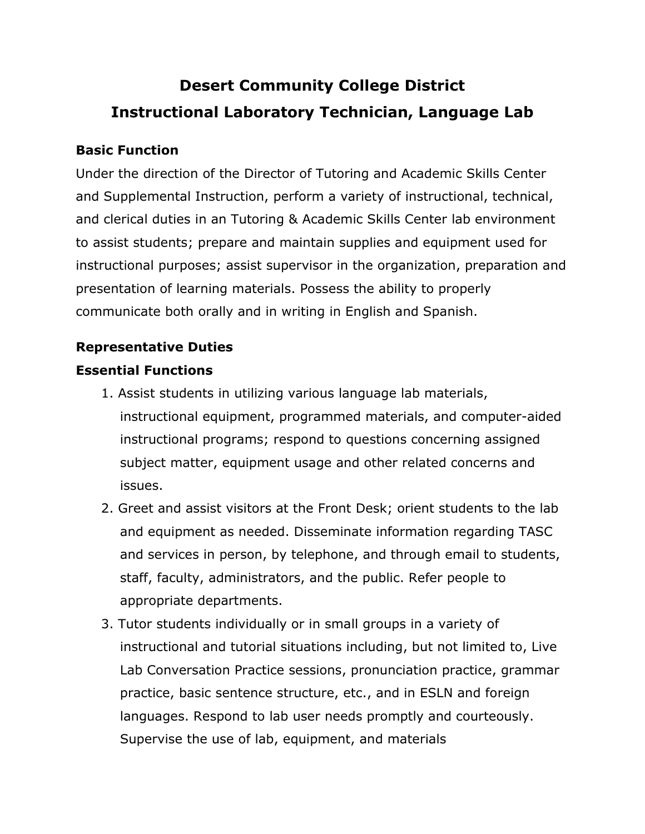# **Desert Community College District Instructional Laboratory Technician, Language Lab**

#### **Basic Function**

Under the direction of the Director of Tutoring and Academic Skills Center and Supplemental Instruction, perform a variety of instructional, technical, and clerical duties in an Tutoring & Academic Skills Center lab environment to assist students; prepare and maintain supplies and equipment used for instructional purposes; assist supervisor in the organization, preparation and presentation of learning materials. Possess the ability to properly communicate both orally and in writing in English and Spanish.

#### **Representative Duties**

#### **Essential Functions**

- 1. Assist students in utilizing various language lab materials, instructional equipment, programmed materials, and computer-aided instructional programs; respond to questions concerning assigned subject matter, equipment usage and other related concerns and issues.
- 2. Greet and assist visitors at the Front Desk; orient students to the lab and equipment as needed. Disseminate information regarding TASC and services in person, by telephone, and through email to students, staff, faculty, administrators, and the public. Refer people to appropriate departments.
- 3. Tutor students individually or in small groups in a variety of instructional and tutorial situations including, but not limited to, Live Lab Conversation Practice sessions, pronunciation practice, grammar practice, basic sentence structure, etc., and in ESLN and foreign languages. Respond to lab user needs promptly and courteously. Supervise the use of lab, equipment, and materials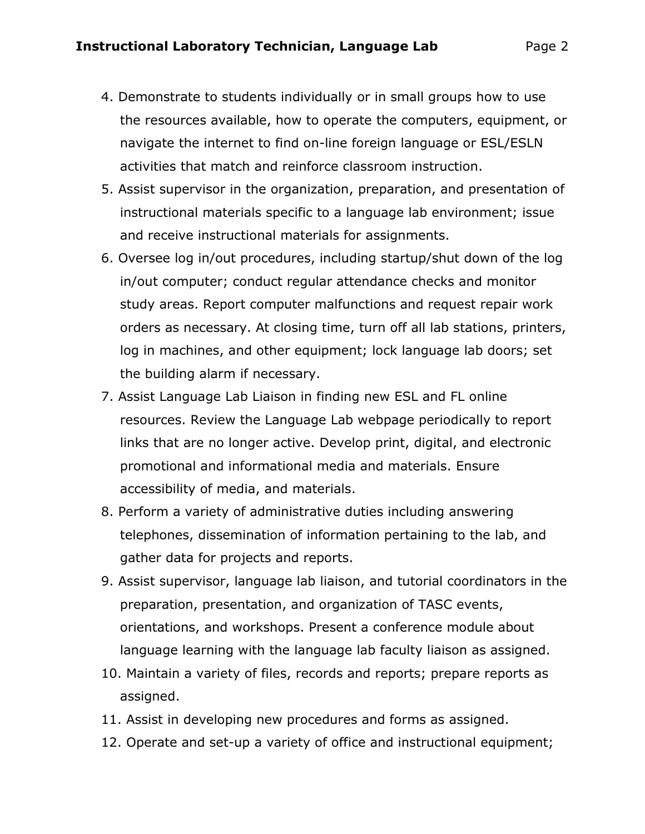- 4. Demonstrate to students individually or in small groups how to use the resources available, how to operate the computers, equipment, or navigate the internet to find on-line foreign language or ESL/ESLN activities that match and reinforce classroom instruction.
- 5. Assist supervisor in the organization, preparation, and presentation of instructional materials specific to a language lab environment; issue and receive instructional materials for assignments.
- 6. Oversee log in/out procedures, including startup/shut down of the log in/out computer; conduct regular attendance checks and monitor study areas. Report computer malfunctions and request repair work orders as necessary. At closing time, turn off all lab stations, printers, log in machines, and other equipment; lock language lab doors; set the building alarm if necessary.
- 7. Assist Language Lab Liaison in finding new ESL and FL online resources. Review the Language Lab webpage periodically to report links that are no longer active. Develop print, digital, and electronic promotional and informational media and materials. Ensure accessibility of media, and materials.
- 8. Perform a variety of administrative duties including answering telephones, dissemination of information pertaining to the lab, and gather data for projects and reports.
- 9. Assist supervisor, language lab liaison, and tutorial coordinators in the preparation, presentation, and organization of TASC events, orientations, and workshops. Present a conference module about language learning with the language lab faculty liaison as assigned.
- 10. Maintain a variety of files, records and reports; prepare reports as assigned.
- 11. Assist in developing new procedures and forms as assigned.
- 12. Operate and set-up a variety of office and instructional equipment;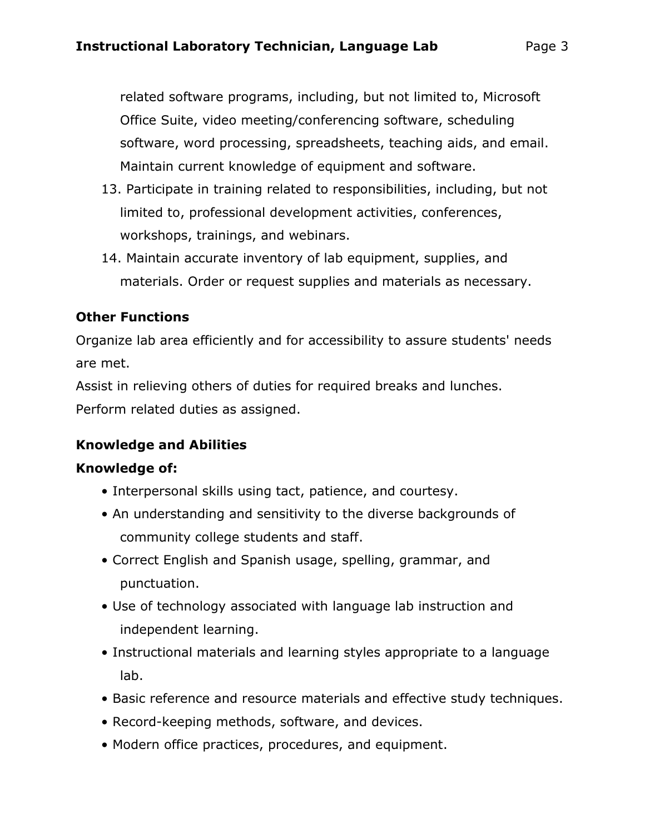related software programs, including, but not limited to, Microsoft Office Suite, video meeting/conferencing software, scheduling software, word processing, spreadsheets, teaching aids, and email. Maintain current knowledge of equipment and software.

- 13. Participate in training related to responsibilities, including, but not limited to, professional development activities, conferences, workshops, trainings, and webinars.
- 14. Maintain accurate inventory of lab equipment, supplies, and materials. Order or request supplies and materials as necessary.

## **Other Functions**

Organize lab area efficiently and for accessibility to assure students' needs are met.

Assist in relieving others of duties for required breaks and lunches. Perform related duties as assigned.

## **Knowledge and Abilities**

## **Knowledge of:**

- Interpersonal skills using tact, patience, and courtesy.
- An understanding and sensitivity to the diverse backgrounds of community college students and staff.
- Correct English and Spanish usage, spelling, grammar, and punctuation.
- Use of technology associated with language lab instruction and independent learning.
- Instructional materials and learning styles appropriate to a language lab.
- Basic reference and resource materials and effective study techniques.
- Record-keeping methods, software, and devices.
- Modern office practices, procedures, and equipment.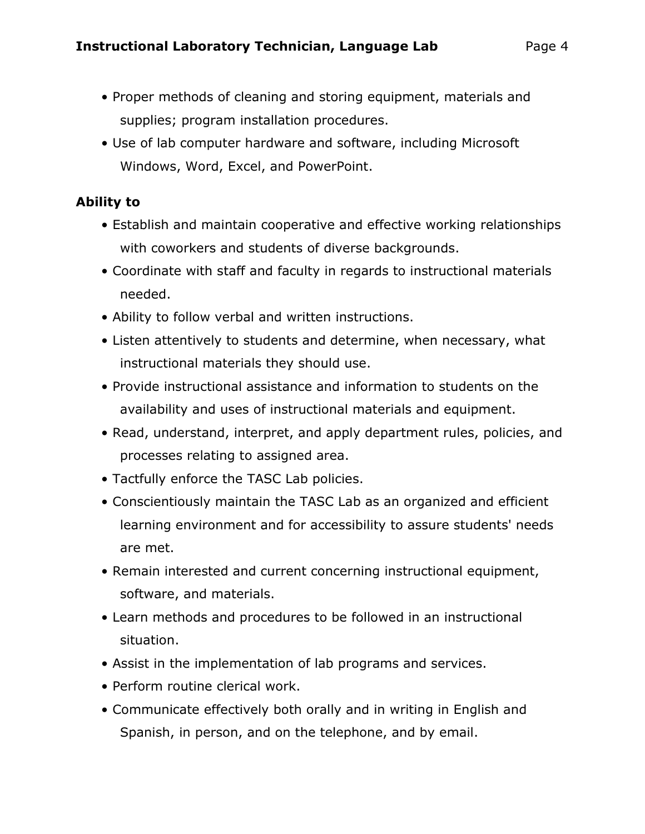- Proper methods of cleaning and storing equipment, materials and supplies; program installation procedures.
- Use of lab computer hardware and software, including Microsoft Windows, Word, Excel, and PowerPoint.

## **Ability to**

- Establish and maintain cooperative and effective working relationships with coworkers and students of diverse backgrounds.
- Coordinate with staff and faculty in regards to instructional materials needed.
- Ability to follow verbal and written instructions.
- Listen attentively to students and determine, when necessary, what instructional materials they should use.
- Provide instructional assistance and information to students on the availability and uses of instructional materials and equipment.
- Read, understand, interpret, and apply department rules, policies, and processes relating to assigned area.
- Tactfully enforce the TASC Lab policies.
- Conscientiously maintain the TASC Lab as an organized and efficient learning environment and for accessibility to assure students' needs are met.
- Remain interested and current concerning instructional equipment, software, and materials.
- Learn methods and procedures to be followed in an instructional situation.
- Assist in the implementation of lab programs and services.
- Perform routine clerical work.
- Communicate effectively both orally and in writing in English and Spanish, in person, and on the telephone, and by email.